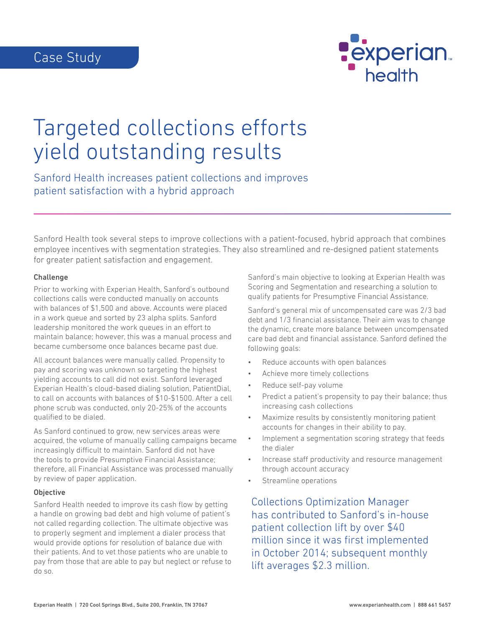

# Targeted collections efforts yield outstanding results

Sanford Health increases patient collections and improves patient satisfaction with a hybrid approach

Sanford Health took several steps to improve collections with a patient-focused, hybrid approach that combines employee incentives with segmentation strategies. They also streamlined and re-designed patient statements for greater patient satisfaction and engagement.

#### Challenge

Prior to working with Experian Health, Sanford's outbound collections calls were conducted manually on accounts with balances of \$1,500 and above. Accounts were placed in a work queue and sorted by 23 alpha splits. Sanford leadership monitored the work queues in an effort to maintain balance; however, this was a manual process and became cumbersome once balances became past due.

All account balances were manually called. Propensity to pay and scoring was unknown so targeting the highest yielding accounts to call did not exist. Sanford leveraged Experian Health's cloud-based dialing solution, PatientDial, to call on accounts with balances of \$10-\$1500. After a cell phone scrub was conducted, only 20-25% of the accounts qualified to be dialed.

As Sanford continued to grow, new services areas were acquired, the volume of manually calling campaigns became increasingly difficult to maintain. Sanford did not have the tools to provide Presumptive Financial Assistance; therefore, all Financial Assistance was processed manually by review of paper application.

### **Objective**

Sanford Health needed to improve its cash flow by getting a handle on growing bad debt and high volume of patient's not called regarding collection. The ultimate objective was to properly segment and implement a dialer process that would provide options for resolution of balance due with their patients. And to vet those patients who are unable to pay from those that are able to pay but neglect or refuse to do so.

Sanford's main objective to looking at Experian Health was Scoring and Segmentation and researching a solution to qualify patients for Presumptive Financial Assistance.

Sanford's general mix of uncompensated care was 2/3 bad debt and 1/3 financial assistance. Their aim was to change the dynamic, create more balance between uncompensated care bad debt and financial assistance. Sanford defined the following goals:

- Reduce accounts with open balances
- Achieve more timely collections
- Reduce self-pay volume
- Predict a patient's propensity to pay their balance; thus increasing cash collections
- Maximize results by consistently monitoring patient accounts for changes in their ability to pay.
- Implement a segmentation scoring strategy that feeds the dialer
- Increase staff productivity and resource management through account accuracy
- Streamline operations

Collections Optimization Manager has contributed to Sanford's in-house patient collection lift by over \$40 million since it was first implemented in October 2014; subsequent monthly lift averages \$2.3 million.